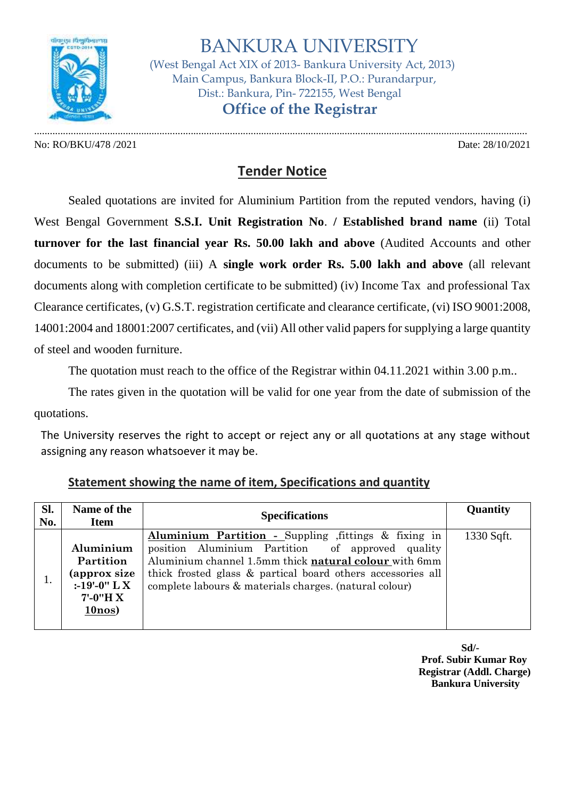

 BANKURA UNIVERSITY (West Bengal Act XIX of 2013- Bankura University Act, 2013) Main Campus, Bankura Block-II, P.O.: Purandarpur, Dist.: Bankura, Pin- 722155, West Bengal  **Office of the Registrar**

No: RO/BKU/478 /2021 Date: 28/10/2021

.............................................................................................................................................................................................

## **Tender Notice**

Sealed quotations are invited for Aluminium Partition from the reputed vendors, having (i) West Bengal Government **S.S.I. Unit Registration No**. **/ Established brand name** (ii) Total **turnover for the last financial year Rs. 50.00 lakh and above** (Audited Accounts and other documents to be submitted) (iii) A **single work order Rs. 5.00 lakh and above** (all relevant documents along with completion certificate to be submitted) (iv) Income Tax and professional Tax Clearance certificates, (v) G.S.T. registration certificate and clearance certificate, (vi) ISO 9001:2008, 14001:2004 and 18001:2007 certificates, and (vii) All other valid papers for supplying a large quantity of steel and wooden furniture.

The quotation must reach to the office of the Registrar within 04.11.2021 within 3.00 p.m..

The rates given in the quotation will be valid for one year from the date of submission of the quotations.

The University reserves the right to accept or reject any or all quotations at any stage without assigning any reason whatsoever it may be.

| SI.<br>No. | Name of the<br><b>Item</b>                                                                   | <b>Specifications</b>                                                                                                                                                                                                                                                                     | Quantity   |
|------------|----------------------------------------------------------------------------------------------|-------------------------------------------------------------------------------------------------------------------------------------------------------------------------------------------------------------------------------------------------------------------------------------------|------------|
|            | Aluminium<br>Partition<br>(approx size<br>:-19'-0" $\rm{L} \, X$<br>$7'$ -0"H X<br>$10$ nos) | Aluminium Partition - Suppling fittings & fixing in<br>position Aluminium Partition of approved quality<br>Aluminium channel 1.5mm thick natural colour with 6mm<br>thick frosted glass & partical board others accessories all<br>complete labours & materials charges. (natural colour) | 1330 Sqft. |

| <b>Statement showing the name of item, Specifications and quantity</b> |
|------------------------------------------------------------------------|
|------------------------------------------------------------------------|

**Sd/- Prof. Subir Kumar Roy Registrar (Addl. Charge) Bankura University**